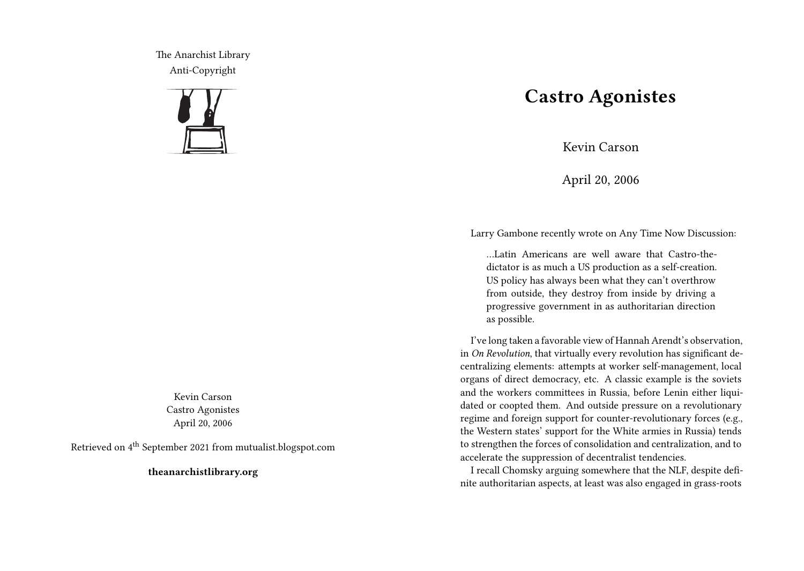The Anarchist Library Anti-Copyright



Kevin Carson Castro Agonistes April 20, 2006

Retrieved on 4th September 2021 from mutualist.blogspot.com

**theanarchistlibrary.org**

## **Castro Agonistes**

Kevin Carson

April 20, 2006

Larry Gambone recently wrote on Any Time Now Discussion:

…Latin Americans are well aware that Castro-thedictator is as much a US production as a self-creation. US policy has always been what they can't overthrow from outside, they destroy from inside by driving a progressive government in as authoritarian direction as possible.

I've long taken a favorable view of Hannah Arendt's observation, in *On Revolution*, that virtually every revolution has significant decentralizing elements: attempts at worker self-management, local organs of direct democracy, etc. A classic example is the soviets and the workers committees in Russia, before Lenin either liquidated or coopted them. And outside pressure on a revolutionary regime and foreign support for counter-revolutionary forces (e.g., the Western states' support for the White armies in Russia) tends to strengthen the forces of consolidation and centralization, and to accelerate the suppression of decentralist tendencies.

I recall Chomsky arguing somewhere that the NLF, despite definite authoritarian aspects, at least was also engaged in grass-roots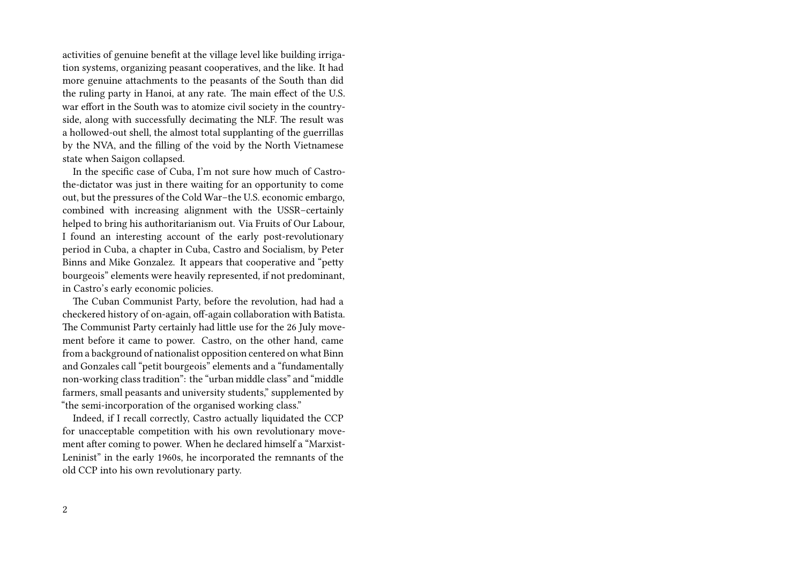activities of genuine benefit at the village level like building irrigation systems, organizing peasant cooperatives, and the like. It had more genuine attachments to the peasants of the South than did the ruling party in Hanoi, at any rate. The main effect of the U.S. war effort in the South was to atomize civil society in the countryside, along with successfully decimating the NLF. The result was a hollowed-out shell, the almost total supplanting of the guerrillas by the NVA, and the filling of the void by the North Vietnamese state when Saigon collapsed.

In the specific case of Cuba, I'm not sure how much of Castrothe-dictator was just in there waiting for an opportunity to come out, but the pressures of the Cold War–the U.S. economic embargo, combined with increasing alignment with the USSR–certainly helped to bring his authoritarianism out. Via Fruits of Our Labour, I found an interesting account of the early post-revolutionary period in Cuba, a chapter in Cuba, Castro and Socialism, by Peter Binns and Mike Gonzalez. It appears that cooperative and "petty bourgeois" elements were heavily represented, if not predominant, in Castro's early economic policies.

The Cuban Communist Party, before the revolution, had had a checkered history of on-again, off-again collaboration with Batista. The Communist Party certainly had little use for the 26 July movement before it came to power. Castro, on the other hand, came from a background of nationalist opposition centered on what Binn and Gonzales call "petit bourgeois" elements and a "fundamentally non-working class tradition": the "urban middle class" and "middle farmers, small peasants and university students," supplemented by "the semi-incorporation of the organised working class."

Indeed, if I recall correctly, Castro actually liquidated the CCP for unacceptable competition with his own revolutionary movement after coming to power. When he declared himself a "Marxist-Leninist" in the early 1960s, he incorporated the remnants of the old CCP into his own revolutionary party.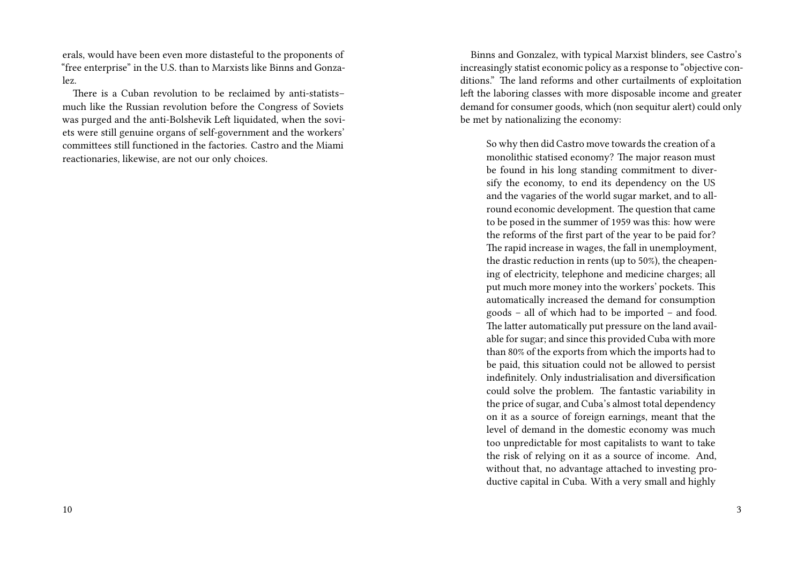erals, would have been even more distasteful to the proponents of "free enterprise" in the U.S. than to Marxists like Binns and Gonzalez.

There is a Cuban revolution to be reclaimed by anti-statists– much like the Russian revolution before the Congress of Soviets was purged and the anti-Bolshevik Left liquidated, when the soviets were still genuine organs of self-government and the workers' committees still functioned in the factories. Castro and the Miami reactionaries, likewise, are not our only choices.

Binns and Gonzalez, with typical Marxist blinders, see Castro's increasingly statist economic policy as a response to "objective conditions." The land reforms and other curtailments of exploitation left the laboring classes with more disposable income and greater demand for consumer goods, which (non sequitur alert) could only be met by nationalizing the economy:

So why then did Castro move towards the creation of a monolithic statised economy? The major reason must be found in his long standing commitment to diversify the economy, to end its dependency on the US and the vagaries of the world sugar market, and to allround economic development. The question that came to be posed in the summer of 1959 was this: how were the reforms of the first part of the year to be paid for? The rapid increase in wages, the fall in unemployment, the drastic reduction in rents (up to 50%), the cheapening of electricity, telephone and medicine charges; all put much more money into the workers' pockets. This automatically increased the demand for consumption goods – all of which had to be imported – and food. The latter automatically put pressure on the land available for sugar; and since this provided Cuba with more than 80% of the exports from which the imports had to be paid, this situation could not be allowed to persist indefinitely. Only industrialisation and diversification could solve the problem. The fantastic variability in the price of sugar, and Cuba's almost total dependency on it as a source of foreign earnings, meant that the level of demand in the domestic economy was much too unpredictable for most capitalists to want to take the risk of relying on it as a source of income. And, without that, no advantage attached to investing productive capital in Cuba. With a very small and highly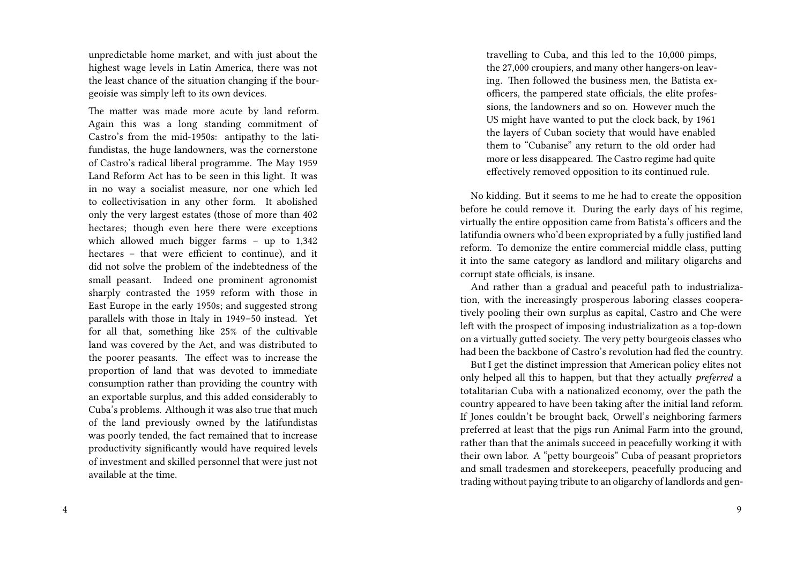unpredictable home market, and with just about the highest wage levels in Latin America, there was not the least chance of the situation changing if the bourgeoisie was simply left to its own devices.

The matter was made more acute by land reform. Again this was a long standing commitment of Castro's from the mid-1950s: antipathy to the latifundistas, the huge landowners, was the cornerstone of Castro's radical liberal programme. The May 1959 Land Reform Act has to be seen in this light. It was in no way a socialist measure, nor one which led to collectivisation in any other form. It abolished only the very largest estates (those of more than 402 hectares; though even here there were exceptions which allowed much bigger farms – up to 1,342 hectares – that were efficient to continue), and it did not solve the problem of the indebtedness of the small peasant. Indeed one prominent agronomist sharply contrasted the 1959 reform with those in East Europe in the early 1950s; and suggested strong parallels with those in Italy in 1949–50 instead. Yet for all that, something like 25% of the cultivable land was covered by the Act, and was distributed to the poorer peasants. The effect was to increase the proportion of land that was devoted to immediate consumption rather than providing the country with an exportable surplus, and this added considerably to Cuba's problems. Although it was also true that much of the land previously owned by the latifundistas was poorly tended, the fact remained that to increase productivity significantly would have required levels of investment and skilled personnel that were just not available at the time.

travelling to Cuba, and this led to the 10,000 pimps, the 27,000 croupiers, and many other hangers-on leaving. Then followed the business men, the Batista exofficers, the pampered state officials, the elite professions, the landowners and so on. However much the US might have wanted to put the clock back, by 1961 the layers of Cuban society that would have enabled them to "Cubanise" any return to the old order had more or less disappeared. The Castro regime had quite effectively removed opposition to its continued rule.

No kidding. But it seems to me he had to create the opposition before he could remove it. During the early days of his regime, virtually the entire opposition came from Batista's officers and the latifundia owners who'd been expropriated by a fully justified land reform. To demonize the entire commercial middle class, putting it into the same category as landlord and military oligarchs and corrupt state officials, is insane.

And rather than a gradual and peaceful path to industrialization, with the increasingly prosperous laboring classes cooperatively pooling their own surplus as capital, Castro and Che were left with the prospect of imposing industrialization as a top-down on a virtually gutted society. The very petty bourgeois classes who had been the backbone of Castro's revolution had fled the country.

But I get the distinct impression that American policy elites not only helped all this to happen, but that they actually *preferred* a totalitarian Cuba with a nationalized economy, over the path the country appeared to have been taking after the initial land reform. If Jones couldn't be brought back, Orwell's neighboring farmers preferred at least that the pigs run Animal Farm into the ground, rather than that the animals succeed in peacefully working it with their own labor. A "petty bourgeois" Cuba of peasant proprietors and small tradesmen and storekeepers, peacefully producing and trading without paying tribute to an oligarchy of landlords and gen-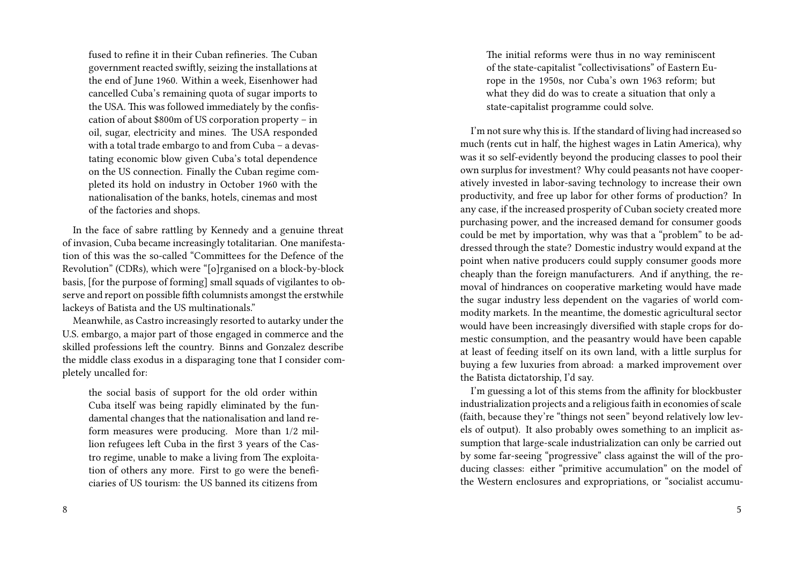fused to refine it in their Cuban refineries. The Cuban government reacted swiftly, seizing the installations at the end of June 1960. Within a week, Eisenhower had cancelled Cuba's remaining quota of sugar imports to the USA. This was followed immediately by the confiscation of about \$800m of US corporation property – in oil, sugar, electricity and mines. The USA responded with a total trade embargo to and from Cuba – a devastating economic blow given Cuba's total dependence on the US connection. Finally the Cuban regime completed its hold on industry in October 1960 with the nationalisation of the banks, hotels, cinemas and most of the factories and shops.

In the face of sabre rattling by Kennedy and a genuine threat of invasion, Cuba became increasingly totalitarian. One manifestation of this was the so-called "Committees for the Defence of the Revolution" (CDRs), which were "[o]rganised on a block-by-block basis, [for the purpose of forming] small squads of vigilantes to observe and report on possible fifth columnists amongst the erstwhile lackeys of Batista and the US multinationals."

Meanwhile, as Castro increasingly resorted to autarky under the U.S. embargo, a major part of those engaged in commerce and the skilled professions left the country. Binns and Gonzalez describe the middle class exodus in a disparaging tone that I consider completely uncalled for:

the social basis of support for the old order within Cuba itself was being rapidly eliminated by the fundamental changes that the nationalisation and land reform measures were producing. More than 1/2 million refugees left Cuba in the first 3 years of the Castro regime, unable to make a living from The exploitation of others any more. First to go were the beneficiaries of US tourism: the US banned its citizens from

The initial reforms were thus in no way reminiscent of the state-capitalist "collectivisations" of Eastern Europe in the 1950s, nor Cuba's own 1963 reform; but what they did do was to create a situation that only a state-capitalist programme could solve.

I'm not sure why this is. If the standard of living had increased so much (rents cut in half, the highest wages in Latin America), why was it so self-evidently beyond the producing classes to pool their own surplus for investment? Why could peasants not have cooperatively invested in labor-saving technology to increase their own productivity, and free up labor for other forms of production? In any case, if the increased prosperity of Cuban society created more purchasing power, and the increased demand for consumer goods could be met by importation, why was that a "problem" to be addressed through the state? Domestic industry would expand at the point when native producers could supply consumer goods more cheaply than the foreign manufacturers. And if anything, the removal of hindrances on cooperative marketing would have made the sugar industry less dependent on the vagaries of world commodity markets. In the meantime, the domestic agricultural sector would have been increasingly diversified with staple crops for domestic consumption, and the peasantry would have been capable at least of feeding itself on its own land, with a little surplus for buying a few luxuries from abroad: a marked improvement over the Batista dictatorship, I'd say.

I'm guessing a lot of this stems from the affinity for blockbuster industrialization projects and a religious faith in economies of scale (faith, because they're "things not seen" beyond relatively low levels of output). It also probably owes something to an implicit assumption that large-scale industrialization can only be carried out by some far-seeing "progressive" class against the will of the producing classes: either "primitive accumulation" on the model of the Western enclosures and expropriations, or "socialist accumu